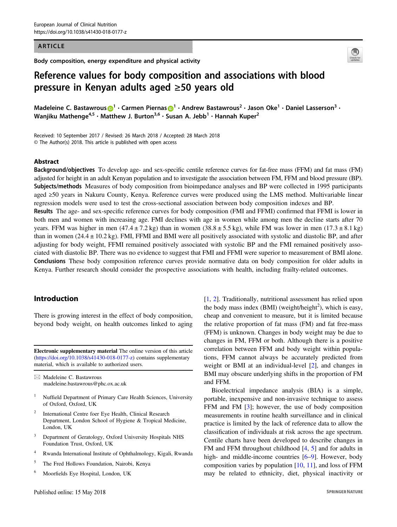#### ARTICLE

Body composition, energy expenditure and physical activity



# Reference values for body composition and associations with blood pressure in Kenyan adults aged ≥50 years old

Madeleine C. Ba[s](http://orcid.org/0000-0001-6979-9154)tawrous  $\mathbf{D}^1$  $\mathbf{D}^1$  • Carmen Piernas  $\mathbf{D}^1$  • Andrew Bastawrous<sup>2</sup> • Jason Oke<sup>1</sup> • Daniel Lasserson<sup>3</sup> • Wanjiku Mathenge<sup>4,5</sup> • Matthew J. Burton<sup>3,6</sup> • Susan A. Jebb<sup>1</sup> • Hannah Kuper<sup>2</sup>

Received: 10 September 2017 / Revised: 26 March 2018 / Accepted: 28 March 2018 © The Author(s) 2018. This article is published with open access

#### Abstract

Background/objectives To develop age- and sex-specific centile reference curves for fat-free mass (FFM) and fat mass (FM) adjusted for height in an adult Kenyan population and to investigate the association between FM, FFM and blood pressure (BP). Subjects/methods Measures of body composition from bioimpedance analyses and BP were collected in 1995 participants aged ≥50 years in Nakuru County, Kenya. Reference curves were produced using the LMS method. Multivariable linear regression models were used to test the cross-sectional association between body composition indexes and BP.

Results The age- and sex-specific reference curves for body composition (FMI and FFMI) confirmed that FFMI is lower in both men and women with increasing age. FMI declines with age in women while among men the decline starts after 70 years. FFM was higher in men  $(47.4 \pm 7.2 \text{ kg})$  than in women  $(38.8 \pm 5.5 \text{ kg})$ , while FM was lower in men  $(17.3 \pm 8.1 \text{ kg})$ than in women  $(24.4 \pm 10.2 \text{ kg})$ . FMI, FFMI and BMI were all positively associated with systolic and diastolic BP, and after adjusting for body weight, FFMI remained positively associated with systolic BP and the FMI remained positively associated with diastolic BP. There was no evidence to suggest that FMI and FFMI were superior to measurement of BMI alone. Conclusions These body composition reference curves provide normative data on body composition for older adults in Kenya. Further research should consider the prospective associations with health, including frailty-related outcomes.

# Introduction

There is growing interest in the effect of body composition, beyond body weight, on health outcomes linked to aging

Electronic supplementary material The online version of this article (<https://doi.org/10.1038/s41430-018-0177-z>) contains supplementary material, which is available to authorized users.

 $\boxtimes$  Madeleine C. Bastawrous [madeleine.bastawrous@phc.ox.ac.uk](mailto:madeleine.bastawrous@phc.ox.ac.uk)

- <sup>1</sup> Nuffield Department of Primary Care Health Sciences, University of Oxford, Oxford, UK
- <sup>2</sup> International Centre foer Eye Health, Clinical Research Department, London School of Hygiene & Tropical Medicine, London, UK
- <sup>3</sup> Department of Geratology, Oxford University Hospitals NHS Foundation Trust, Oxford, UK
- <sup>4</sup> Rwanda International Institute of Ophthalmology, Kigali, Rwanda
- <sup>5</sup> The Fred Hollows Foundation, Nairobi, Kenya
- <sup>6</sup> Moorfields Eye Hospital, London, UK

[\[1](#page-6-0), [2](#page-6-0)]. Traditionally, nutritional assessment has relied upon the body mass index (BMI) (weight/height<sup>2</sup>), which is easy, cheap and convenient to measure, but it is limited because the relative proportion of fat mass (FM) and fat free-mass (FFM) is unknown. Changes in body weight may be due to changes in FM, FFM or both. Although there is a positive correlation between FFM and body weight within populations, FFM cannot always be accurately predicted from weight or BMI at an individual-level [\[2](#page-6-0)], and changes in BMI may obscure underlying shifts in the proportion of FM and FFM.

Bioelectrical impedance analysis (BIA) is a simple, portable, inexpensive and non-invasive technique to assess FFM and FM [\[3](#page-6-0)]; however, the use of body composition measurements in routine health surveillance and in clinical practice is limited by the lack of reference data to allow the classification of individuals at risk across the age spectrum. Centile charts have been developed to describe changes in FM and FFM throughout childhood [\[4](#page-6-0), [5\]](#page-6-0) and for adults in high- and middle-income countries [[6](#page-6-0)–[9\]](#page-7-0). However, body composition varies by population  $[10, 11]$  $[10, 11]$  $[10, 11]$  $[10, 11]$  $[10, 11]$ , and loss of FFM may be related to ethnicity, diet, physical inactivity or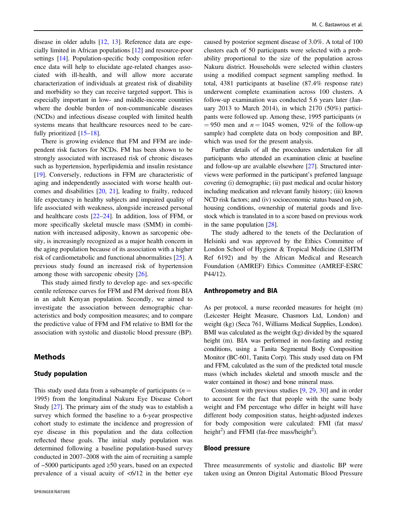disease in older adults [[12,](#page-7-0) [13\]](#page-7-0). Reference data are especially limited in African populations [\[12](#page-7-0)] and resource-poor settings [[14\]](#page-7-0). Population-specific body composition reference data will help to elucidate age-related changes associated with ill-health, and will allow more accurate characterization of individuals at greatest risk of disability and morbidity so they can receive targeted support. This is especially important in low- and middle-income countries where the double burden of non-communicable diseases (NCDs) and infectious disease coupled with limited health systems means that healthcare resources need to be carefully prioritized [\[15](#page-7-0)–[18](#page-7-0)].

There is growing evidence that FM and FFM are independent risk factors for NCDs. FM has been shown to be strongly associated with increased risk of chronic diseases such as hypertension, hyperlipidemia and insulin resistance [\[19](#page-7-0)]. Conversely, reductions in FFM are characteristic of aging and independently associated with worse health outcomes and disabilities [[20,](#page-7-0) [21\]](#page-7-0), leading to frailty, reduced life expectancy in healthy subjects and impaired quality of life associated with weakness, alongside increased personal and healthcare costs [[22](#page-7-0)–[24\]](#page-7-0). In addition, loss of FFM, or more specifically skeletal muscle mass (SMM) in combination with increased adiposity, known as sarcopenic obesity, is increasingly recognized as a major health concern in the aging population because of its association with a higher risk of cardiometabolic and functional abnormalities [[25\]](#page-7-0). A previous study found an increased risk of hypertension among those with sarcopenic obesity [\[26](#page-7-0)].

This study aimed firstly to develop age- and sex-specific centile reference curves for FFM and FM derived from BIA in an adult Kenyan population. Secondly, we aimed to investigate the association between demographic characteristics and body composition measures; and to compare the predictive value of FFM and FM relative to BMI for the association with systolic and diastolic blood pressure (BP).

# Methods

## Study population

This study used data from a subsample of participants ( $n =$ 1995) from the longitudinal Nakuru Eye Disease Cohort Study [\[27](#page-7-0)]. The primary aim of the study was to establish a survey which formed the baseline to a 6-year prospective cohort study to estimate the incidence and progression of eye disease in this population and the data collection reflected these goals. The initial study population was determined following a baseline population-based survey conducted in 2007–2008 with the aim of recruiting a sample of ~5000 participants aged ≥50 years, based on an expected prevalence of a visual acuity of  $\langle 6/12 \rangle$  in the better eye caused by posterior segment disease of 3.0%. A total of 100 clusters each of 50 participants were selected with a probability proportional to the size of the population across Nakuru district. Households were selected within clusters using a modified compact segment sampling method. In total, 4381 participants at baseline (87.4% response rate) underwent complete examination across 100 clusters. A follow-up examination was conducted 5.6 years later (January 2013 to March 2014), in which 2170 (50%) participants were followed up. Among these, 1995 participants (n  $= 950$  men and  $n = 1045$  women, 92% of the follow-up sample) had complete data on body composition and BP, which was used for the present analysis.

Further details of all the procedures undertaken for all participants who attended an examination clinic at baseline and follow-up are available elsewhere [\[27\]](#page-7-0). Structured interviews were performed in the participant's preferred language covering (i) demographic; (ii) past medical and ocular history including medication and relevant family history; (iii) known NCD risk factors; and (iv) socioeconomic status based on job, housing conditions, ownership of material goods and livestock which is translated in to a score based on previous work in the same population [\[28\]](#page-7-0).

The study adhered to the tenets of the Declaration of Helsinki and was approved by the Ethics Committee of London School of Hygiene & Tropical Medicine (LSHTM Ref 6192) and by the African Medical and Research Foundation (AMREF) Ethics Committee (AMREF-ESRC P44/12).

#### Anthropometry and BIA

As per protocol, a nurse recorded measures for height (m) (Leicester Height Measure, Chasmors Ltd, London) and weight (kg) (Seca 761, Williams Medical Supplies, London). BMI was calculated as the weight (kg) divided by the squared height (m). BIA was performed in non-fasting and resting conditions, using a Tanita Segmental Body Composition Monitor (BC-601, Tanita Corp). This study used data on FM and FFM, calculated as the sum of the predicted total muscle mass (which includes skeletal and smooth muscle and the water contained in those) and bone mineral mass.

Consistent with previous studies [\[9](#page-7-0), [29,](#page-7-0) [30](#page-7-0)] and in order to account for the fact that people with the same body weight and FM percentage who differ in height will have different body composition status, height-adjusted indexes for body composition were calculated: FMI (fat mass/ height<sup>2</sup>) and FFMI (fat-free mass/height<sup>2</sup>).

## Blood pressure

Three measurements of systolic and diastolic BP were taken using an Omron Digital Automatic Blood Pressure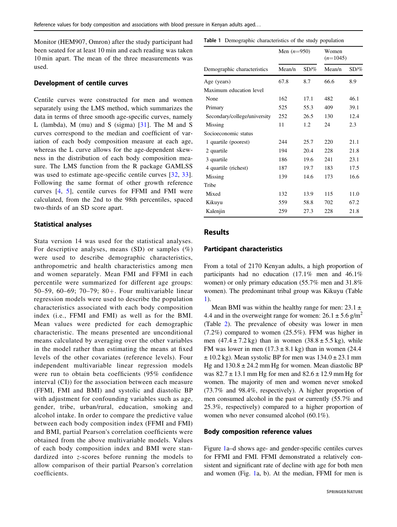Monitor (HEM907, Omron) after the study participant had been seated for at least 10 min and each reading was taken 10 min apart. The mean of the three measurements was used.

### Development of centile curves

Centile curves were constructed for men and women separately using the LMS method, which summarizes the data in terms of three smooth age-specific curves, namely L (lambda), M (mu) and S (sigma) [\[31\]](#page-7-0). The M and S curves correspond to the median and coefficient of variation of each body composition measure at each age, whereas the L curve allows for the age-dependent skewness in the distribution of each body composition measure. The LMS function from the R package GAMLSS was used to estimate age-specific centile curves [[32](#page-7-0), [33](#page-7-0)]. Following the same format of other growth reference curves [\[4](#page-6-0), [5](#page-6-0)], centile curves for FFMI and FMI were calculated, from the 2nd to the 98th percentiles, spaced two-thirds of an SD score apart.

#### Statistical analyses

Stata version 14 was used for the statistical analyses. For descriptive analyses, means (SD) or samples (%) were used to describe demographic characteristics, anthropometric and health characteristics among men and women separately. Mean FMI and FFMI in each percentile were summarized for different age groups: 50–59, 60–69; 70–79; 80+. Four multivariable linear regression models were used to describe the population characteristics associated with each body composition index (i.e., FFMI and FMI) as well as for the BMI. Mean values were predicted for each demographic characteristic. The means presented are unconditional means calculated by averaging over the other variables in the model rather than estimating the means at fixed levels of the other covariates (reference levels). Four independent multivariable linear regression models were run to obtain beta coefficients (95% confidence interval (CI)) for the association between each measure (FFMI, FMI and BMI) and systolic and diastolic BP with adjustment for confounding variables such as age, gender, tribe, urban/rural, education, smoking and alcohol intake. In order to compare the predictive value between each body composition index (FFMI and FMI) and BMI, partial Pearson's correlation coefficients were obtained from the above multivariable models. Values of each body composition index and BMI were standardized into z-scores before running the models to allow comparison of their partial Pearson's correlation coefficients.

Table 1 Demographic characteristics of the study population

|                              | Men $(n=950)$ |      | Women<br>$(n=1045)$ |      |  |
|------------------------------|---------------|------|---------------------|------|--|
| Demographic characteristics  | Mean/n        | SD/% | Mean/n              | SD/% |  |
| Age (years)                  | 67.8          | 8.7  | 66.6                | 8.9  |  |
| Maximum education level      |               |      |                     |      |  |
| None                         | 162           | 17.1 | 482                 | 46.1 |  |
| Primary                      | 525           | 55.3 | 409                 | 39.1 |  |
| Secondary/college/university | 252           | 26.5 | 130                 | 12.4 |  |
| Missing                      | 11            | 1.2  | 24                  | 2.3  |  |
| Socioeconomic status         |               |      |                     |      |  |
| 1 quartile (poorest)         | 244           | 25.7 | 220                 | 21.1 |  |
| 2 quartile                   | 194           | 20.4 | 228                 | 21.8 |  |
| 3 quartile                   | 186           | 19.6 | 241                 | 23.1 |  |
| 4 quartile (richest)         | 187           | 19.7 | 183                 | 17.5 |  |
| Missing                      | 139           | 14.6 | 173                 | 16.6 |  |
| Tribe                        |               |      |                     |      |  |
| Mixed                        | 132           | 13.9 | 115                 | 11.0 |  |
| Kikuyu                       | 559           | 58.8 | 702                 | 67.2 |  |
| Kalenjin                     | 259           | 27.3 | 228                 | 21.8 |  |

# Results

#### Participant characteristics

From a total of 2170 Kenyan adults, a high proportion of participants had no education (17.1% men and 46.1% women) or only primary education (55.7% men and 31.8% women). The predominant tribal group was Kikuyu (Table 1).

Mean BMI was within the healthy range for men:  $23.1 \pm$ 4.4 and in the overweight range for women:  $26.1 \pm 5.6$  g/m<sup>2</sup> (Table [2\)](#page-3-0). The prevalence of obesity was lower in men (7.2%) compared to women (25.5%). FFM was higher in men  $(47.4 \pm 7.2 \text{ kg})$  than in women  $(38.8 \pm 5.5 \text{ kg})$ , while FM was lower in men  $(17.3 \pm 8.1 \text{ kg})$  than in women  $(24.4$  $\pm$  10.2 kg). Mean systolic BP for men was  $134.0 \pm 23.1$  mm Hg and  $130.8 \pm 24.2$  mm Hg for women. Mean diastolic BP was  $82.7 \pm 13.1$  mm Hg for men and  $82.6 \pm 12.9$  mm Hg for women. The majority of men and women never smoked (73.7% and 98.4%, respectively). A higher proportion of men consumed alcohol in the past or currently (55.7% and 25.3%, respectively) compared to a higher proportion of women who never consumed alcohol (60.1%).

### Body composition reference values

Figure [1a](#page-4-0)–d shows age- and gender-specific centiles curves for FFMI and FMI. FFMI demonstrated a relatively consistent and significant rate of decline with age for both men and women (Fig. [1a](#page-4-0), b). At the median, FFMI for men is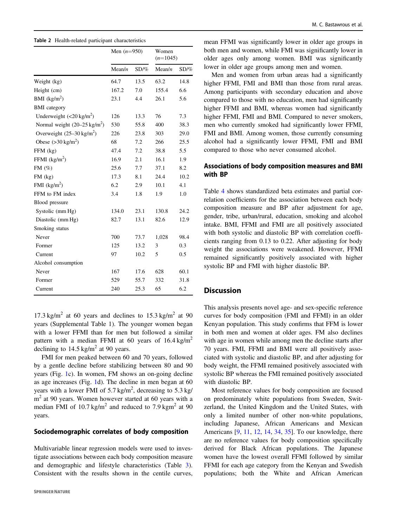<span id="page-3-0"></span>

| Table 2 Health-related participant characteristics |  |  |  |
|----------------------------------------------------|--|--|--|
|----------------------------------------------------|--|--|--|

|                                        | Men $(n=950)$ |      | Women<br>$(n=1045)$ |      |  |
|----------------------------------------|---------------|------|---------------------|------|--|
|                                        | Mean/n        | SD/% | Mean/n              | SD/% |  |
| Weight (kg)                            | 64.7          | 13.5 | 63.2                | 14.8 |  |
| Height (cm)                            | 167.2         | 7.0  | 155.4               | 6.6  |  |
| BMI $(kg/m^2)$                         | 23.1          | 4.4  | 26.1                | 5.6  |  |
| <b>BMI</b> category                    |               |      |                     |      |  |
| Underweight $(<20 \text{ kg/m}^2)$     | 126           | 13.3 | 76                  | 7.3  |  |
| Normal weight $(20-25 \text{ kg/m}^2)$ | 530           | 55.8 | 400                 | 38.3 |  |
| Overweight $(25-30 \text{ kg/m}^2)$    | 226           | 23.8 | 303                 | 29.0 |  |
| Obese $(>30 \text{ kg/m}^2)$           | 68            | 7.2  | 266                 | 25.5 |  |
| $FFM$ $(kg)$                           | 47.4          | 7.2  | 38.8                | 5.5  |  |
| FFMI $(kg/m2)$                         | 16.9          | 2.1  | 16.1                | 1.9  |  |
| FM $(\%)$                              | 25.6          | 7.7  | 37.1                | 8.2  |  |
| $FM$ $(kg)$                            | 17.3          | 8.1  | 24.4                | 10.2 |  |
| FMI $(kg/m2)$                          | 6.2           | 2.9  | 10.1                | 4.1  |  |
| FFM to FM index                        | 3.4           | 1.8  | 1.9                 | 1.0  |  |
| Blood pressure                         |               |      |                     |      |  |
| Systolic (mm Hg)                       | 134.0         | 23.1 | 130.8               | 24.2 |  |
| Diastolic (mm Hg)                      | 82.7          | 13.1 | 82.6                | 12.9 |  |
| Smoking status                         |               |      |                     |      |  |
| Never                                  | 700           | 73.7 | 1,028               | 98.4 |  |
| Former                                 | 125           | 13.2 | 3                   | 0.3  |  |
| Current                                | 97            | 10.2 | 5                   | 0.5  |  |
| Alcohol consumption                    |               |      |                     |      |  |
| Never                                  | 167           | 17.6 | 628                 | 60.1 |  |
| Former                                 | 529           | 55.7 | 332                 | 31.8 |  |
| Current                                | 240           | 25.3 | 65                  | 6.2  |  |

17.3 kg/m<sup>2</sup> at 60 years and declines to  $15.3$  kg/m<sup>2</sup> at 90 years (Supplemental Table 1). The younger women began with a lower FFMI than for men but followed a similar pattern with a median FFMI at 60 years of  $16.4 \text{ kg/m}^2$ declining to  $14.5 \text{ kg/m}^2$  at 90 years.

FMI for men peaked between 60 and 70 years, followed by a gentle decline before stabilizing between 80 and 90 years (Fig. [1c](#page-4-0)). In women, FM shows an on-going decline as age increases (Fig. [1](#page-4-0)d). The decline in men began at 60 years with a lower FMI of 5.7 kg/m<sup>2</sup>, decreasing to 5.3 kg/  $m<sup>2</sup>$  at 90 years. Women however started at 60 years with a median FMI of  $10.7 \text{ kg/m}^2$  and reduced to  $7.9 \text{ kg/m}^2$  at 90 years.

## Sociodemographic correlates of body composition

Multivariable linear regression models were used to investigate associations between each body composition measure and demographic and lifestyle characteristics (Table [3](#page-5-0)). Consistent with the results shown in the centile curves, mean FFMI was significantly lower in older age groups in both men and women, while FMI was significantly lower in older ages only among women. BMI was significantly lower in older age groups among men and women.

Men and women from urban areas had a significantly higher FFMI, FMI and BMI than those from rural areas. Among participants with secondary education and above compared to those with no education, men had significantly higher FFMI and BMI, whereas women had significantly higher FFMI, FMI and BMI. Compared to never smokers, men who currently smoked had significantly lower FFMI, FMI and BMI. Among women, those currently consuming alcohol had a significantly lower FFMI, FMI and BMI compared to those who never consumed alcohol.

## Associations of body composition measures and BMI with BP

Table [4](#page-6-0) shows standardized beta estimates and partial correlation coefficients for the association between each body composition measure and BP after adjustment for age, gender, tribe, urban/rural, education, smoking and alcohol intake. BMI, FFMI and FMI are all positively associated with both systolic and diastolic BP with correlation coefficients ranging from 0.13 to 0.22. After adjusting for body weight the associations were weakened. However, FFMI remained significantly positively associated with higher systolic BP and FMI with higher diastolic BP.

# **Discussion**

This analysis presents novel age- and sex-specific reference curves for body composition (FMI and FFMI) in an older Kenyan population. This study confirms that FFM is lower in both men and women at older ages. FM also declines with age in women while among men the decline starts after 70 years. FMI, FFMI and BMI were all positively associated with systolic and diastolic BP, and after adjusting for body weight, the FFMI remained positively associated with systolic BP whereas the FMI remained positively associated with diastolic BP.

Most reference values for body composition are focused on predominately white populations from Sweden, Switzerland, the United Kingdom and the United States, with only a limited number of other non-white populations, including Japanese, African Americans and Mexican Americans [[9](#page-7-0), [11](#page-7-0), [12,](#page-7-0) [14](#page-7-0), [34,](#page-7-0) [35\]](#page-7-0). To our knowledge, there are no reference values for body composition specifically derived for Black African populations. The Japanese women have the lowest overall FFMI followed by similar FFMI for each age category from the Kenyan and Swedish populations; both the White and African American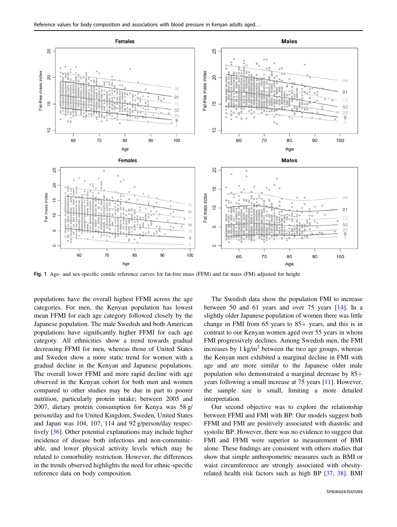<span id="page-4-0"></span>

Fig. 1 Age- and sex-specific centile reference curves for fat-free mass (FFM) and fat mass (FM) adjusted for height

populations have the overall highest FFMI across the age categories. For men, the Kenyan population has lowest mean FFMI for each age category followed closely by the Japanese population. The male Swedish and both American populations have significantly higher FFMI for each age category. All ethnicities show a trend towards gradual decreasing FFMI for men, whereas those of United States and Sweden show a more static trend for women with a gradual decline in the Kenyan and Japanese populations. The overall lower FFMI and more rapid decline with age observed in the Kenyan cohort for both men and women compared to other studies may be due in part to poorer nutrition, particularly protein intake; between 2005 and 2007, dietary protein consumption for Kenya was 58 g/ person/day and for United Kingdom, Sweden, United States and Japan was 104, 107, 114 and 92 g/person/day respectively [\[36](#page-7-0)]. Other potential explanations may include higher incidence of disease both infectious and non-communicable, and lower physical activity levels which may be related to comorbidity restriction. However, the differences in the trends observed highlights the need for ethnic-specific reference data on body composition.

The Swedish data show the population FMI to increase between 50 and 61 years and over 75 years [[14\]](#page-7-0). In a slightly older Japanese population of women there was little change in FMI from  $65$  years to  $85+$  years, and this is in contrast to our Kenyan women aged over 55 years in whom FMI progressively declines. Among Swedish men, the FMI increases by  $1 \text{ kg/m}^2$  between the two age groups, whereas the Kenyan men exhibited a marginal decline in FMI with age and are more similar to the Japanese older male population who demonstrated a marginal decrease by 85+ years following a small increase at 75 years [[11\]](#page-7-0). However, the sample size is small, limiting a more detailed interpretation.

Our second objective was to explore the relationship between FFMI and FMI with BP. Our models suggest both FFMI and FMI are positively associated with diastolic and systolic BP. However, there was no evidence to suggest that FMI and FFMI were superior to measurement of BMI alone. These findings are consistent with others studies that show that simple anthropometric measures such as BMI or waist circumference are strongly associated with obesityrelated health risk factors such as high BP [\[37](#page-7-0), [38\]](#page-7-0). BMI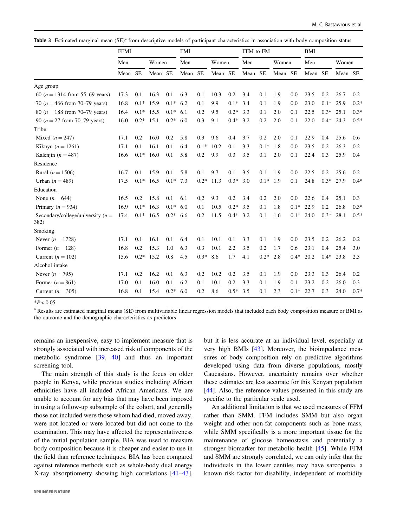<span id="page-5-0"></span>Table 3 Estimated marginal mean  $(SE)^{a}$  from descriptive models of participant characteristics in association with body composition status

|                                             | <b>FFMI</b> |        |         |        | <b>FMI</b> |        |         | FFM to FM |         |        |         | BMI    |         |        |         |        |
|---------------------------------------------|-------------|--------|---------|--------|------------|--------|---------|-----------|---------|--------|---------|--------|---------|--------|---------|--------|
|                                             | Men         |        | Women   |        | Men        |        | Women   |           | Men     | Women  |         |        | Men     |        | Women   |        |
|                                             | Mean SE     |        | Mean SE |        | Mean SE    |        | Mean SE |           | Mean SE |        | Mean SE |        | Mean SE |        | Mean SE |        |
| Age group                                   |             |        |         |        |            |        |         |           |         |        |         |        |         |        |         |        |
| 60 ( $n = 1314$ from 55–69 years)           | 17.3        | 0.1    | 16.3    | 0.1    | 6.3        | 0.1    | 10.3    | 0.2       | 3.4     | 0.1    | 1.9     | 0.0    | 23.5    | 0.2    | 26.7    | 0.2    |
| 70 ( $n = 466$ from 70–79 years)            | 16.8        | $0.1*$ | 15.9    | $0.1*$ | 6.2        | 0.1    | 9.9     | $0.1*$    | 3.4     | 0.1    | 1.9     | 0.0    | 23.0    | $0.1*$ | 25.9    | $0.2*$ |
| 80 ( $n = 188$ from 70–79 years)            | 16.4        | $0.1*$ | 15.5    | $0.1*$ | 6.1        | 0.2    | 9.5     | $0.2*$    | 3.3     | 0.1    | 2.0     | 0.1    | 22.5    | $0.3*$ | 25.1    | $0.3*$ |
| 90 ( $n = 27$ from 70–79 years)             | 16.0        | $0.2*$ | 15.1    | $0.2*$ | 6.0        | 0.3    | 9.1     | $0.4*$    | 3.2     | 0.2    | 2.0     | 0.1    | 22.0    | $0.4*$ | 24.3    | $0.5*$ |
| Tribe                                       |             |        |         |        |            |        |         |           |         |        |         |        |         |        |         |        |
| Mixed $(n = 247)$                           | 17.1        | 0.2    | 16.0    | 0.2    | 5.8        | 0.3    | 9.6     | 0.4       | 3.7     | 0.2    | 2.0     | 0.1    | 22.9    | 0.4    | 25.6    | 0.6    |
| Kikuyu $(n = 1261)$                         | 17.1        | 0.1    | 16.1    | 0.1    | 6.4        | $0.1*$ | 10.2    | 0.1       | 3.3     | $0.1*$ | 1.8     | 0.0    | 23.5    | 0.2    | 26.3    | 0.2    |
| Kalenjin ( $n = 487$ )                      | 16.6        | $0.1*$ | 16.0    | 0.1    | 5.8        | 0.2    | 9.9     | 0.3       | 3.5     | 0.1    | 2.0     | 0.1    | 22.4    | 0.3    | 25.9    | 0.4    |
| Residence                                   |             |        |         |        |            |        |         |           |         |        |         |        |         |        |         |        |
| Rural ( $n = 1506$ )                        | 16.7        | 0.1    | 15.9    | 0.1    | 5.8        | 0.1    | 9.7     | 0.1       | 3.5     | 0.1    | 1.9     | 0.0    | 22.5    | 0.2    | 25.6    | 0.2    |
| Urban $(n = 489)$                           | 17.5        | $0.1*$ | 16.5    | $0.1*$ | 7.3        | $0.2*$ | 11.3    | $0.3*$    | 3.0     | $0.1*$ | 1.9     | 0.1    | 24.8    | $0.3*$ | 27.9    | $0.4*$ |
| Education                                   |             |        |         |        |            |        |         |           |         |        |         |        |         |        |         |        |
| None $(n = 644)$                            | 16.5        | 0.2    | 15.8    | 0.1    | 6.1        | 0.2    | 9.3     | 0.2       | 3.4     | 0.2    | 2.0     | 0.0    | 22.6    | 0.4    | 25.1    | 0.3    |
| Primary $(n = 934)$                         | 16.9        | $0.1*$ | 16.3    | $0.1*$ | 6.0        | 0.1    | 10.5    | $0.2*$    | 3.5     | 0.1    | 1.8     | $0.1*$ | 22.9    | 0.2    | 26.8    | $0.3*$ |
| Secondary/college/university $(n =$<br>382) | 17.4        | $0.1*$ | 16.5    | $0.2*$ | 6.6        | 0.2    | 11.5    | $0.4*$    | 3.2     | 0.1    | 1.6     | $0.1*$ | 24.0    | $0.3*$ | 28.1    | $0.5*$ |
| Smoking                                     |             |        |         |        |            |        |         |           |         |        |         |        |         |        |         |        |
| Never $(n = 1728)$                          | 17.1        | 0.1    | 16.1    | 0.1    | 6.4        | 0.1    | 10.1    | 0.1       | 3.3     | 0.1    | 1.9     | 0.0    | 23.5    | 0.2    | 26.2    | 0.2    |
| Former $(n = 128)$                          | 16.8        | 0.2    | 15.3    | 1.0    | 6.3        | 0.3    | 10.1    | 2.2       | 3.5     | 0.2    | 1.7     | 0.6    | 23.1    | 0.4    | 25.4    | 3.0    |
| Current $(n = 102)$                         | 15.6        | $0.2*$ | 15.2    | 0.8    | 4.5        | $0.3*$ | 8.6     | 1.7       | 4.1     | $0.2*$ | 2.8     | $0.4*$ | 20.2    | $0.4*$ | 23.8    | 2.3    |
| Alcohol intake                              |             |        |         |        |            |        |         |           |         |        |         |        |         |        |         |        |
| Never $(n = 795)$                           | 17.1        | 0.2    | 16.2    | 0.1    | 6.3        | 0.2    | 10.2    | 0.2       | 3.5     | 0.1    | 1.9     | 0.0    | 23.3    | 0.3    | 26.4    | 0.2    |
| Former $(n = 861)$                          | 17.0        | 0.1    | 16.0    | 0.1    | 6.2        | 0.1    | 10.1    | 0.2       | 3.3     | 0.1    | 1.9     | 0.1    | 23.2    | 0.2    | 26.0    | 0.3    |
| Current $(n = 305)$                         | 16.8        | 0.1    | 15.4    | $0.2*$ | 6.0        | 0.2    | 8.6     | $0.5*$    | 3.5     | 0.1    | 2.3     | $0.1*$ | 22.7    | 0.3    | 24.0    | $0.7*$ |

 $*P < 0.05$ 

<sup>a</sup> Results are estimated marginal means (SE) from multivariable linear regression models that included each body composition measure or BMI as the outcome and the demographic characteristics as predictors

remains an inexpensive, easy to implement measure that is strongly associated with increased risk of components of the metabolic syndrome [\[39](#page-7-0), [40](#page-7-0)] and thus an important screening tool.

The main strength of this study is the focus on older people in Kenya, while previous studies including African ethnicities have all included African Americans. We are unable to account for any bias that may have been imposed in using a follow-up subsample of the cohort, and generally those not included were those whom had died, moved away, were not located or were located but did not come to the examination. This may have affected the representativeness of the initial population sample. BIA was used to measure body composition because it is cheaper and easier to use in the field than reference techniques. BIA has been compared against reference methods such as whole-body dual energy X-ray absorptiometry showing high correlations [\[41](#page-7-0)–[43](#page-7-0)], but it is less accurate at an individual level, especially at very high BMIs [\[43](#page-7-0)]. Moreover, the bioimpedance measures of body composition rely on predictive algorithms developed using data from diverse populations, mostly Caucasians. However, uncertainty remains over whether these estimates are less accurate for this Kenyan population [\[44](#page-7-0)]. Also, the reference values presented in this study are specific to the particular scale used.

An additional limitation is that we used measures of FFM rather than SMM. FFM includes SMM but also organ weight and other non-fat components such as bone mass, while SMM specifically is a more important tissue for the maintenance of glucose homeostasis and potentially a stronger biomarker for metabolic health [[45\]](#page-7-0). While FFM and SMM are strongly correlated, we can only infer that the individuals in the lower centiles may have sarcopenia, a known risk factor for disability, independent of morbidity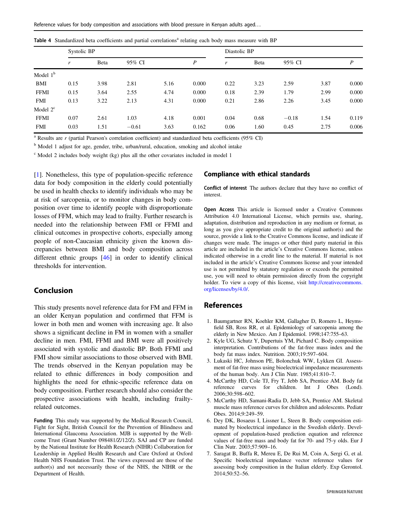<span id="page-6-0"></span>

|  | Table 4 Standardized beta coefficients and partial correlations <sup>a</sup> relating each body mass measure with BP |  |  |  |  |  |  |  |  |  |  |  |  |
|--|----------------------------------------------------------------------------------------------------------------------|--|--|--|--|--|--|--|--|--|--|--|--|
|--|----------------------------------------------------------------------------------------------------------------------|--|--|--|--|--|--|--|--|--|--|--|--|

|             | Systolic BP |      |         |      | Diastolic BP |      |      |         |      |       |  |  |
|-------------|-------------|------|---------|------|--------------|------|------|---------|------|-------|--|--|
|             | r           | Beta | 95% CI  |      | P            | r    | Beta | 95% CI  |      | P     |  |  |
| Model $1b$  |             |      |         |      |              |      |      |         |      |       |  |  |
| BMI         | 0.15        | 3.98 | 2.81    | 5.16 | 0.000        | 0.22 | 3.23 | 2.59    | 3.87 | 0.000 |  |  |
| <b>FFMI</b> | 0.15        | 3.64 | 2.55    | 4.74 | 0.000        | 0.18 | 2.39 | 1.79    | 2.99 | 0.000 |  |  |
| <b>FMI</b>  | 0.13        | 3.22 | 2.13    | 4.31 | 0.000        | 0.21 | 2.86 | 2.26    | 3.45 | 0.000 |  |  |
| Model $2c$  |             |      |         |      |              |      |      |         |      |       |  |  |
| <b>FFMI</b> | 0.07        | 2.61 | 1.03    | 4.18 | 0.001        | 0.04 | 0.68 | $-0.18$ | 1.54 | 0.119 |  |  |
| FMI         | 0.03        | 1.51 | $-0.61$ | 3.63 | 0.162        | 0.06 | 1.60 | 0.45    | 2.75 | 0.006 |  |  |

<sup>a</sup> Results are r (partial Pearson's correlation coefficient) and standardized beta coefficients (95% CI)

<sup>b</sup> Model 1 adjust for age, gender, tribe, urban/rural, education, smoking and alcohol intake

<sup>c</sup> Model 2 includes body weight (kg) plus all the other covariates included in model 1

[1]. Nonetheless, this type of population-specific reference data for body composition in the elderly could potentially be used in health checks to identify individuals who may be at risk of sarcopenia, or to monitor changes in body composition over time to identify people with disproportionate losses of FFM, which may lead to frailty. Further research is needed into the relationship between FMI or FFMI and clinical outcomes in prospective cohorts, especially among people of non-Caucasian ethnicity given the known discrepancies between BMI and body composition across different ethnic groups [[46\]](#page-7-0) in order to identify clinical thresholds for intervention.

# Conclusion

This study presents novel reference data for FM and FFM in an older Kenyan population and confirmed that FFM is lower in both men and women with increasing age. It also shows a significant decline in FM in women with a smaller decline in men. FMI, FFMI and BMI were all positively associated with systolic and diastolic BP. Both FFMI and FMI show similar associations to those observed with BMI. The trends observed in the Kenyan population may be related to ethnic differences in body composition and highlights the need for ethnic-specific reference data on body composition. Further research should also consider the prospective associations with health, including frailtyrelated outcomes.

Funding This study was supported by the Medical Research Council, Fight for Sight, British Council for the Prevention of Blindness and International Glaucoma Association. MJB is supported by the Wellcome Trust (Grant Number 098481/Z/12/Z). SAJ and CP are funded by the National Institute for Health Research (NIHR) Collaboration for Leadership in Applied Health Research and Care Oxford at Oxford Health NHS Foundation Trust. The views expressed are those of the author(s) and not necessarily those of the NHS, the NIHR or the Department of Health.

## Compliance with ethical standards

Conflict of interest The authors declare that they have no conflict of interest.

Open Access This article is licensed under a Creative Commons Attribution 4.0 International License, which permits use, sharing, adaptation, distribution and reproduction in any medium or format, as long as you give appropriate credit to the original author(s) and the source, provide a link to the Creative Commons license, and indicate if changes were made. The images or other third party material in this article are included in the article's Creative Commons license, unless indicated otherwise in a credit line to the material. If material is not included in the article's Creative Commons license and your intended use is not permitted by statutory regulation or exceeds the permitted use, you will need to obtain permission directly from the copyright holder. To view a copy of this license, visit [http://creativecommons.](http://creativecommons.org/licenses/by/4.0/) [org/licenses/by/4.0/](http://creativecommons.org/licenses/by/4.0/).

# References

- 1. Baumgartner RN, Koehler KM, Gallagher D, Romero L, Heymsfield SB, Ross RR, et al. Epidemiology of sarcopenia among the elderly in New Mexico. Am J Epidemiol. 1998;147:755–63.
- 2. Kyle UG, Schutz Y, Dupertuis YM, Pichard C. Body composition interpretation. Contributions of the fat-free mass index and the body fat mass index. Nutrition. 2003;19:597–604.
- 3. Lukaski HC, Johnson PE, Bolonchuk WW, Lykken GI. Assessment of fat-free mass using bioelectrical impedance measurements of the human body. Am J Clin Nutr. 1985;41:810–7.
- 4. McCarthy HD, Cole TJ, Fry T, Jebb SA, Prentice AM. Body fat reference curves for children. Int J Obes (Lond). 2006;30:598–602.
- 5. McCarthy HD, Samani-Radia D, Jebb SA, Prentice AM. Skeletal muscle mass reference curves for children and adolescents. Pediatr Obes. 2014;9:249–59.
- 6. Dey DK, Bosaeus I, Lissner L, Steen B. Body composition estimated by bioelectrical impedance in the Swedish elderly. Development of population-based prediction equation and reference values of fat-free mass and body fat for 70- and 75-y olds. Eur J Clin Nutr. 2003;57:909–16.
- 7. Saragat B, Buffa R, Mereu E, De Rui M, Coin A, Sergi G, et al. Specific bioelectrical impedance vector reference values for assessing body composition in the Italian elderly. Exp Gerontol. 2014;50:52–56.